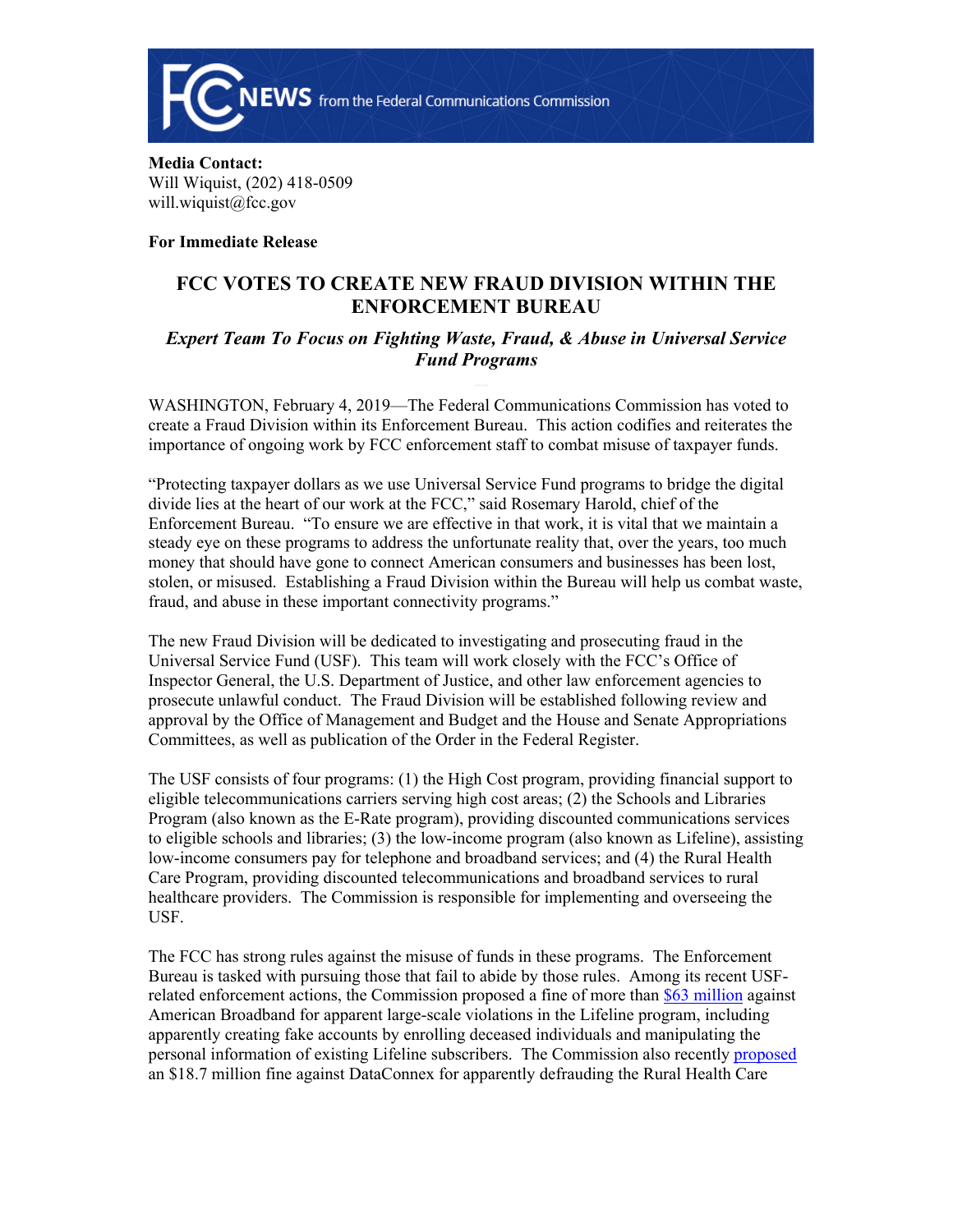

## **Media Contact:**  Will Wiquist, (202) 418-0509 will.wiquist@fcc.gov

**For Immediate Release**

## **FCC VOTES TO CREATE NEW FRAUD DIVISION WITHIN THE ENFORCEMENT BUREAU**

## *Expert Team To Focus on Fighting Waste, Fraud, & Abuse in Universal Service Fund Programs*

WASHINGTON, February 4, 2019—The Federal Communications Commission has voted to create a Fraud Division within its Enforcement Bureau. This action codifies and reiterates the importance of ongoing work by FCC enforcement staff to combat misuse of taxpayer funds.

"Protecting taxpayer dollars as we use Universal Service Fund programs to bridge the digital divide lies at the heart of our work at the FCC," said Rosemary Harold, chief of the Enforcement Bureau. "To ensure we are effective in that work, it is vital that we maintain a steady eye on these programs to address the unfortunate reality that, over the years, too much money that should have gone to connect American consumers and businesses has been lost, stolen, or misused. Establishing a Fraud Division within the Bureau will help us combat waste, fraud, and abuse in these important connectivity programs."

The new Fraud Division will be dedicated to investigating and prosecuting fraud in the Universal Service Fund (USF). This team will work closely with the FCC's Office of Inspector General, the U.S. Department of Justice, and other law enforcement agencies to prosecute unlawful conduct. The Fraud Division will be established following review and approval by the Office of Management and Budget and the House and Senate Appropriations Committees, as well as publication of the Order in the Federal Register.

The USF consists of four programs: (1) the High Cost program, providing financial support to eligible telecommunications carriers serving high cost areas; (2) the Schools and Libraries Program (also known as the E-Rate program), providing discounted communications services to eligible schools and libraries; (3) the low-income program (also known as Lifeline), assisting low-income consumers pay for telephone and broadband services; and (4) the Rural Health Care Program, providing discounted telecommunications and broadband services to rural healthcare providers. The Commission is responsible for implementing and overseeing the USF.

The FCC has strong rules against the misuse of funds in these programs. The Enforcement Bureau is tasked with pursuing those that fail to abide by those rules. Among its recent USFrelated enforcement actions, the Commission proposed a fine of more than [\\$63 million](https://www.fcc.gov/document/fcc-proposes-63m-fine-apparent-violations-lifeline-program) against American Broadband for apparent large-scale violations in the Lifeline program, including apparently creating fake accounts by enrolling deceased individuals and manipulating the personal information of existing Lifeline subscribers. The Commission also recently [proposed](https://www.fcc.gov/document/fcc-proposes-187-million-fine-against-dataconnex) an \$18.7 million fine against DataConnex for apparently defrauding the Rural Health Care